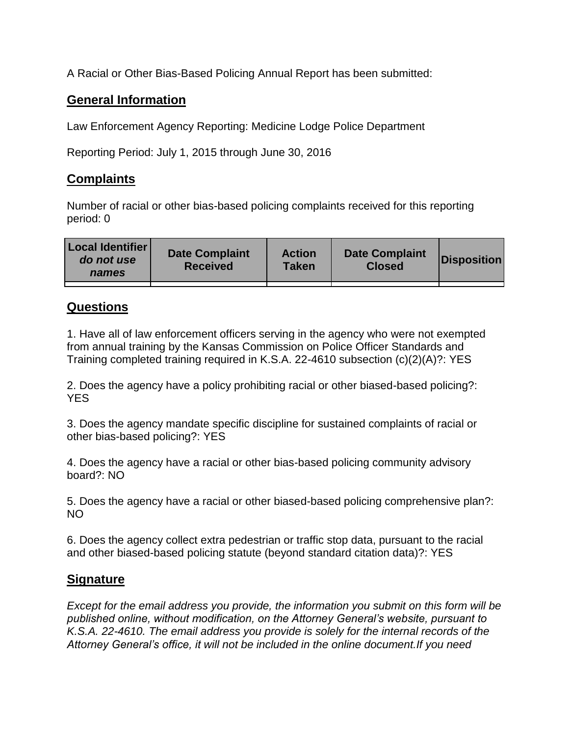A Racial or Other Bias-Based Policing Annual Report has been submitted:

## **General Information**

Law Enforcement Agency Reporting: Medicine Lodge Police Department

Reporting Period: July 1, 2015 through June 30, 2016

## **Complaints**

Number of racial or other bias-based policing complaints received for this reporting period: 0

| <b>Local Identifier</b><br>do not use<br>names | <b>Date Complaint</b><br><b>Received</b> | <b>Action</b><br><b>Taken</b> | <b>Date Complaint</b><br><b>Closed</b> | Disposition |
|------------------------------------------------|------------------------------------------|-------------------------------|----------------------------------------|-------------|
|                                                |                                          |                               |                                        |             |

## **Questions**

1. Have all of law enforcement officers serving in the agency who were not exempted from annual training by the Kansas Commission on Police Officer Standards and Training completed training required in K.S.A. 22-4610 subsection (c)(2)(A)?: YES

2. Does the agency have a policy prohibiting racial or other biased-based policing?: YES

3. Does the agency mandate specific discipline for sustained complaints of racial or other bias-based policing?: YES

4. Does the agency have a racial or other bias-based policing community advisory board?: NO

5. Does the agency have a racial or other biased-based policing comprehensive plan?: NO

6. Does the agency collect extra pedestrian or traffic stop data, pursuant to the racial and other biased-based policing statute (beyond standard citation data)?: YES

## **Signature**

*Except for the email address you provide, the information you submit on this form will be published online, without modification, on the Attorney General's website, pursuant to K.S.A. 22-4610. The email address you provide is solely for the internal records of the Attorney General's office, it will not be included in the online document.If you need*